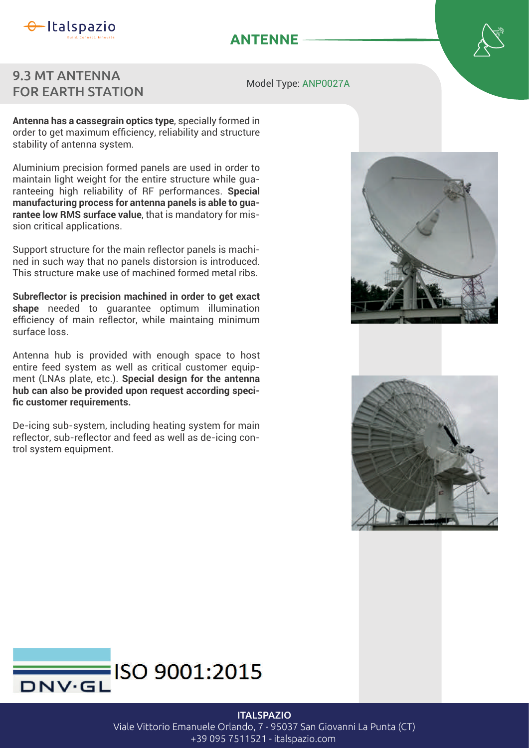

## **ANTENNE**

## 9.3 MT ANTENNA FOR EARTH STATION

Model Type: ANP0027A

**Antenna has a cassegrain optics type**, specially formed in order to get maximum efficiency, reliability and structure stability of antenna system.

Aluminium precision formed panels are used in order to maintain light weight for the entire structure while guaranteeing high reliability of RF performances. **Special manufacturing process for antenna panels is able to guarantee low RMS surface value**, that is mandatory for mission critical applications.

Support structure for the main reflector panels is machined in such way that no panels distorsion is introduced. This structure make use of machined formed metal ribs

**Subreflector is precision machined in order to get exact shape** needed to guarantee optimum illumination efficiency of main reflector, while maintaing minimum surface loss

Antenna hub is provided with enough space to host entire feed system as well as critical customer equipment (LNAs plate, etc.). Special design for the antenna **hub can also be provided upon request according speci** fic customer requirements.

De-icing sub-system, including heating system for main reflector, sub-reflector and feed as well as de-icing control system equipment.







## **ITALSPAZIO**

Viale Vittorio Emanuele Orlando, 7 - 95037 San Giovanni La Punta (CT) +39 095 7511521 - italspazio.com